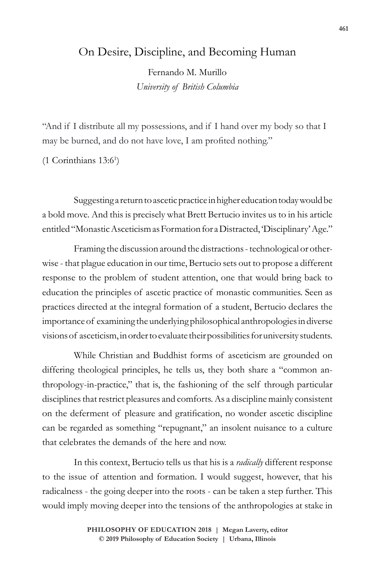## On Desire, Discipline, and Becoming Human

Fernando M. Murillo *University of British Columbia*

"And if I distribute all my possessions, and if I hand over my body so that I may be burned, and do not have love, I am profited nothing."

(1 Corinthians 13:61 )

Suggesting a return to ascetic practice in higher education today would be a bold move. And this is precisely what Brett Bertucio invites us to in his article entitled "Monastic Asceticism as Formation for a Distracted, 'Disciplinary' Age."

Framing the discussion around the distractions - technological or otherwise - that plague education in our time, Bertucio sets out to propose a different response to the problem of student attention, one that would bring back to education the principles of ascetic practice of monastic communities. Seen as practices directed at the integral formation of a student, Bertucio declares the importance of examining the underlying philosophical anthropologies in diverse visions of asceticism, in order to evaluate their possibilities for university students.

While Christian and Buddhist forms of asceticism are grounded on differing theological principles, he tells us, they both share a "common anthropology-in-practice," that is, the fashioning of the self through particular disciplines that restrict pleasures and comforts. As a discipline mainly consistent on the deferment of pleasure and gratification, no wonder ascetic discipline can be regarded as something "repugnant," an insolent nuisance to a culture that celebrates the demands of the here and now.

In this context, Bertucio tells us that his is a *radically* different response to the issue of attention and formation. I would suggest, however, that his radicalness - the going deeper into the roots - can be taken a step further. This would imply moving deeper into the tensions of the anthropologies at stake in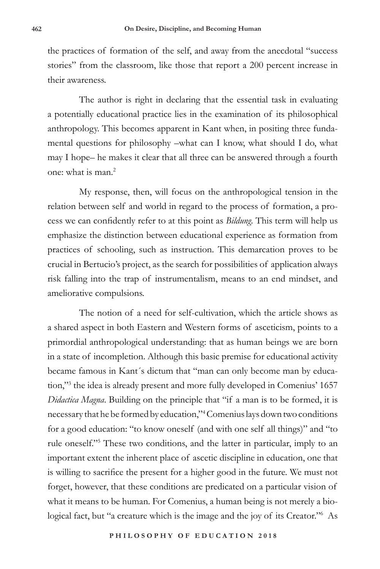the practices of formation of the self, and away from the anecdotal "success stories" from the classroom, like those that report a 200 percent increase in their awareness.

The author is right in declaring that the essential task in evaluating a potentially educational practice lies in the examination of its philosophical anthropology. This becomes apparent in Kant when, in positing three fundamental questions for philosophy –what can I know, what should I do, what may I hope– he makes it clear that all three can be answered through a fourth one: what is man.<sup>2</sup>

My response, then, will focus on the anthropological tension in the relation between self and world in regard to the process of formation, a process we can confidently refer to at this point as *Bildung*. This term will help us emphasize the distinction between educational experience as formation from practices of schooling, such as instruction. This demarcation proves to be crucial in Bertucio's project, as the search for possibilities of application always risk falling into the trap of instrumentalism, means to an end mindset, and ameliorative compulsions.

The notion of a need for self-cultivation, which the article shows as a shared aspect in both Eastern and Western forms of asceticism, points to a primordial anthropological understanding: that as human beings we are born in a state of incompletion. Although this basic premise for educational activity became famous in Kant´s dictum that "man can only become man by education,"<sup>3</sup> the idea is already present and more fully developed in Comenius' 1657 *Didactica Magna*. Building on the principle that "if a man is to be formed, it is necessary that he be formed by education,"<sup>4</sup> Comenius lays down two conditions for a good education: "to know oneself (and with one self all things)" and "to rule oneself."<sup>5</sup> These two conditions, and the latter in particular, imply to an important extent the inherent place of ascetic discipline in education, one that is willing to sacrifice the present for a higher good in the future. We must not forget, however, that these conditions are predicated on a particular vision of what it means to be human. For Comenius, a human being is not merely a biological fact, but "a creature which is the image and the joy of its Creator."<sup>6</sup> As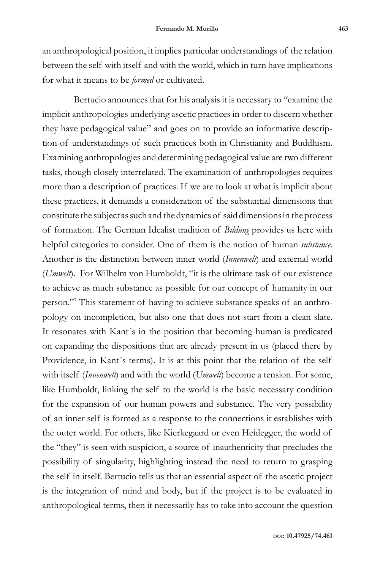an anthropological position, it implies particular understandings of the relation between the self with itself and with the world, which in turn have implications for what it means to be *formed* or cultivated.

Bertucio announces that for his analysis it is necessary to "examine the implicit anthropologies underlying ascetic practices in order to discern whether they have pedagogical value" and goes on to provide an informative description of understandings of such practices both in Christianity and Buddhism. Examining anthropologies and determining pedagogical value are two different tasks, though closely interrelated. The examination of anthropologies requires more than a description of practices. If we are to look at what is implicit about these practices, it demands a consideration of the substantial dimensions that constitute the subject as such and the dynamics of said dimensions in the process of formation. The German Idealist tradition of *Bildung* provides us here with helpful categories to consider. One of them is the notion of human *substance*. Another is the distinction between inner world (*Innenwelt*) and external world (*Umwelt*). For Wilhelm von Humboldt, "it is the ultimate task of our existence to achieve as much substance as possible for our concept of humanity in our person."<sup>7</sup> This statement of having to achieve substance speaks of an anthropology on incompletion, but also one that does not start from a clean slate. It resonates with Kant´s in the position that becoming human is predicated on expanding the dispositions that are already present in us (placed there by Providence, in Kant´s terms). It is at this point that the relation of the self with itself (*Innenwelt*) and with the world (*Umwelt*) become a tension. For some, like Humboldt, linking the self to the world is the basic necessary condition for the expansion of our human powers and substance. The very possibility of an inner self is formed as a response to the connections it establishes with the outer world. For others, like Kierkegaard or even Heidegger, the world of the "they" is seen with suspicion, a source of inauthenticity that precludes the possibility of singularity, highlighting instead the need to return to grasping the self in itself. Bertucio tells us that an essential aspect of the ascetic project is the integration of mind and body, but if the project is to be evaluated in anthropological terms, then it necessarily has to take into account the question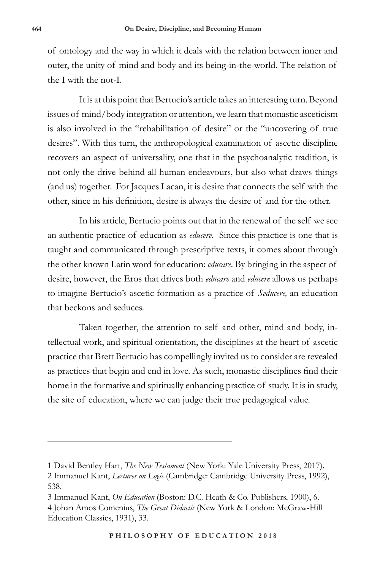of ontology and the way in which it deals with the relation between inner and outer, the unity of mind and body and its being-in-the-world. The relation of the I with the not-I.

It is at this point that Bertucio's article takes an interesting turn. Beyond issues of mind/body integration or attention, we learn that monastic asceticism is also involved in the "rehabilitation of desire" or the "uncovering of true desires". With this turn, the anthropological examination of ascetic discipline recovers an aspect of universality, one that in the psychoanalytic tradition, is not only the drive behind all human endeavours, but also what draws things (and us) together. For Jacques Lacan, it is desire that connects the self with the other, since in his definition, desire is always the desire of and for the other.

In his article, Bertucio points out that in the renewal of the self we see an authentic practice of education as *educere.* Since this practice is one that is taught and communicated through prescriptive texts, it comes about through the other known Latin word for education: *educare*. By bringing in the aspect of desire, however, the Eros that drives both *educare* and *educere* allows us perhaps to imagine Bertucio's ascetic formation as a practice of *Seducere,* an education that beckons and seduces.

Taken together, the attention to self and other, mind and body, intellectual work, and spiritual orientation, the disciplines at the heart of ascetic practice that Brett Bertucio has compellingly invited us to consider are revealed as practices that begin and end in love. As such, monastic disciplines find their home in the formative and spiritually enhancing practice of study. It is in study, the site of education, where we can judge their true pedagogical value.

<sup>1</sup> David Bentley Hart, *The New Testament* (New York: Yale University Press, 2017).

<sup>2</sup> Immanuel Kant, *Lectures on Logic* (Cambridge: Cambridge University Press, 1992), 538.

<sup>3</sup> Immanuel Kant, *On Education* (Boston: D.C. Heath & Co. Publishers, 1900), 6.

<sup>4</sup> Johan Amos Comenius, *The Great Didactic* (New York & London: McGraw-Hill Education Classics, 1931), 33.